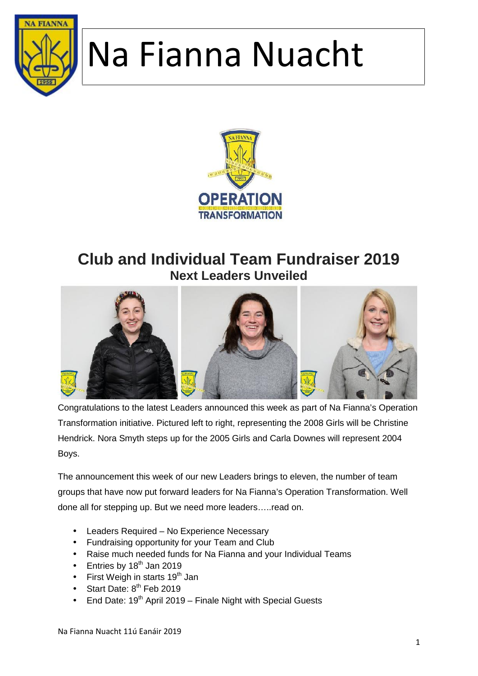



#### **Club and Individual Team Fundraiser 2019 Next Leaders Unveiled**



Congratulations to the latest Leaders announced this week as part of Na Fianna's Operation Transformation initiative. Pictured left to right, representing the 2008 Girls will be Christine Hendrick. Nora Smyth steps up for the 2005 Girls and Carla Downes will represent 2004 Boys.

The announcement this week of our new Leaders brings to eleven, the number of team groups that have now put forward leaders for Na Fianna's Operation Transformation. Well done all for stepping up. But we need more leaders.....read on.

- Leaders Required No Experience Necessary
- Fundraising opportunity for your Team and Club
- Raise much needed funds for Na Fianna and your Individual Teams
- $\bullet$  Entries by 18<sup>th</sup> Jan 2019
- First Weigh in starts  $19<sup>th</sup>$  Jan
- $\bullet$  Start Date:  $8<sup>th</sup>$  Feb 2019
- $\bullet$  End Date: 19<sup>th</sup> April 2019 Finale Night with Special Guests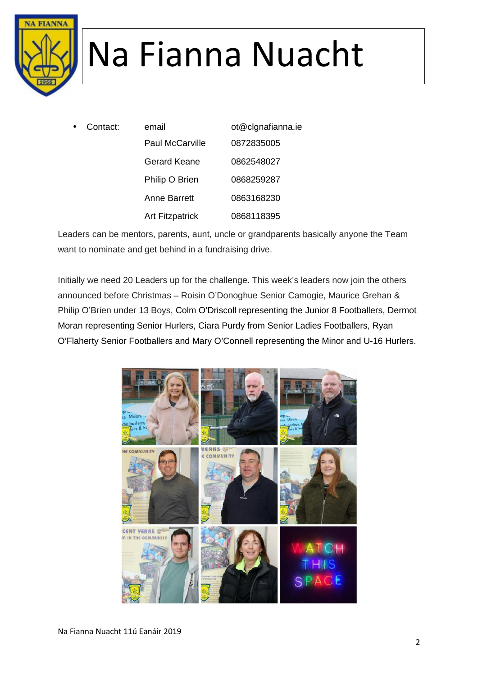

 Contact: email ot@clgnafianna.ie Paul McCarville 0872835005 Gerard Keane 0862548027 Philip O Brien 0868259287 Anne Barrett 0863168230 Art Fitzpatrick 0868118395

Leaders can be mentors, parents, aunt, uncle or grandparents basically anyone the Team want to nominate and get behind in a fundraising drive.

Initially we need 20 Leaders up for the challenge. This week's leaders now join the others announced before Christmas – Roisin O'Donoghue Senior Camogie, Maurice Grehan & Philip O'Brien under 13 Boys, Colm O'Driscoll representing the Junior 8 Footballers, Dermot Moran representing Senior Hurlers, Ciara Purdy from Senior Ladies Footballers, Ryan O'Flaherty Senior Footballers and Mary O'Connell representing the Minor and U-16 Hurlers.

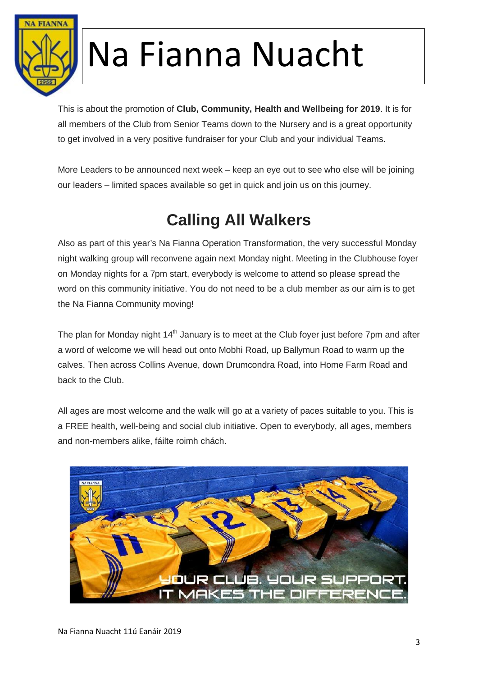

This is about the promotion of **Club, Community, Health and Wellbeing for 2019**. It is for all members of the Club from Senior Teams down to the Nursery and is a great opportunity to get involved in a very positive fundraiser for your Club and your individual Teams.

More Leaders to be announced next week – keep an eye out to see who else will be joining our leaders – limited spaces available so get in quick and join us on this journey.

### **Calling All Walkers**

Also as part of this year's Na Fianna Operation Transformation, the very successful Monday night walking group will reconvene again next Monday night. Meeting in the Clubhouse foyer on Monday nights for a 7pm start, everybody is welcome to attend so please spread the word on this community initiative. You do not need to be a club member as our aim is to get the Na Fianna Community moving!

The plan for Monday night 14<sup>th</sup> January is to meet at the Club foyer just before 7pm and after a word of welcome we will head out onto Mobhi Road, up Ballymun Road to warm up the calves. Then across Collins Avenue, down Drumcondra Road, into Home Farm Road and back to the Club.

All ages are most welcome and the walk will go at a variety of paces suitable to you. This is a FREE health, well-being and social club initiative. Open to everybody, all ages, members and non-members alike, fáilte roimh chách.

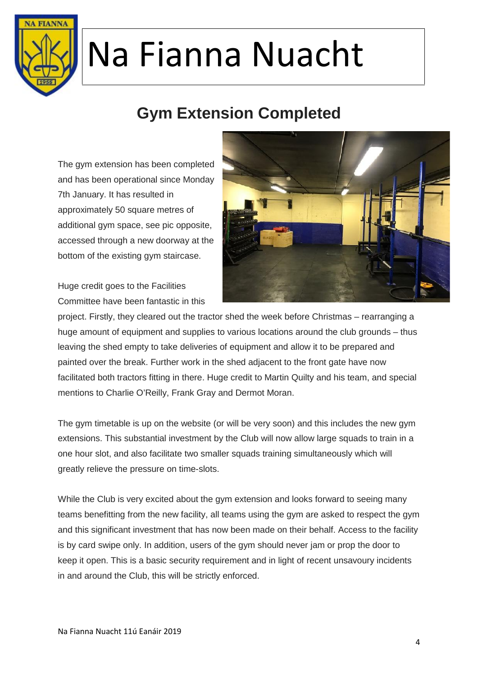

#### **Gym Extension Completed**

The gym extension has been completed and has been operational since Monday 7th January. It has resulted in approximately 50 square metres of additional gym space, see pic opposite, accessed through a new doorway at the bottom of the existing gym staircase.



Huge credit goes to the Facilities Committee have been fantastic in this

project. Firstly, they cleared out the tractor shed the week before Christmas – rearranging a huge amount of equipment and supplies to various locations around the club grounds – thus leaving the shed empty to take deliveries of equipment and allow it to be prepared and painted over the break. Further work in the shed adjacent to the front gate have now facilitated both tractors fitting in there. Huge credit to Martin Quilty and his team, and special mentions to Charlie O'Reilly, Frank Gray and Dermot Moran.

The gym timetable is up on the website (or will be very soon) and this includes the new gym extensions. This substantial investment by the Club will now allow large squads to train in a one hour slot, and also facilitate two smaller squads training simultaneously which will greatly relieve the pressure on time-slots.

While the Club is very excited about the gym extension and looks forward to seeing many teams benefitting from the new facility, all teams using the gym are asked to respect the gym and this significant investment that has now been made on their behalf. Access to the facility is by card swipe only. In addition, users of the gym should never jam or prop the door to keep it open. This is a basic security requirement and in light of recent unsavoury incidents in and around the Club, this will be strictly enforced.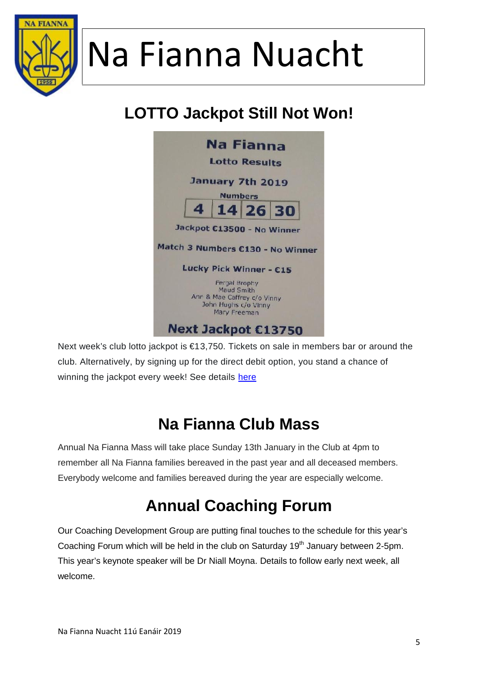

#### **LOTTO Jackpot Still Not Won!**



Next week's club lotto jackpot is €13,750. Tickets on sale in members bar or around the club. Alternatively, by signing up for the direct debit option, you stand a chance of winning the jackpot every week! See details here

#### **Na Fianna Club Mass**

Annual Na Fianna Mass will take place Sunday 13th January in the Club at 4pm to remember all Na Fianna families bereaved in the past year and all deceased members. Everybody welcome and families bereaved during the year are especially welcome.

#### **Annual Coaching Forum**

Our Coaching Development Group are putting final touches to the schedule for this year's Coaching Forum which will be held in the club on Saturday  $19<sup>th</sup>$  January between 2-5pm. This year's keynote speaker will be Dr Niall Moyna. Details to follow early next week, all welcome.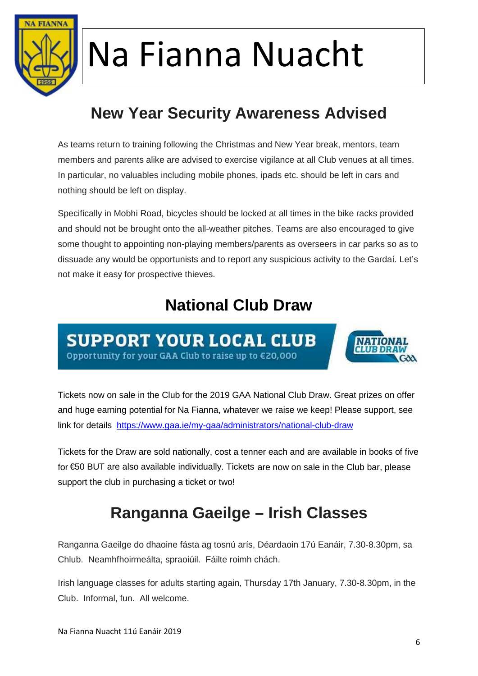

#### **New Year Security Awareness Advised**

As teams return to training following the Christmas and New Year break, mentors, team members and parents alike are advised to exercise vigilance at all Club venues at all times. In particular, no valuables including mobile phones, ipads etc. should be left in cars and nothing should be left on display.

Specifically in Mobhi Road, bicycles should be locked at all times in the bike racks provided and should not be brought onto the all-weather pitches. Teams are also encouraged to give some thought to appointing non-playing members/parents as overseers in car parks so as to dissuade any would be opportunists and to report any suspicious activity to the Gardaí. Let's not make it easy for prospective thieves.

#### **National Club Draw**

**SUPPORT YOUR LOCAL CLUB** Opportunity for your GAA Club to raise up to €20,000



Tickets now on sale in the Club for the 2019 GAA National Club Draw. Great prizes on offer and huge earning potential for Na Fianna, whatever we raise we keep! Please support, see link for details https://www.gaa.ie/my-gaa/administrators/national-club-draw

Tickets for the Draw are sold nationally, cost a tenner each and are available in books of five for €50 BUT are also available individually. Tickets are now on sale in the Club bar, please support the club in purchasing a ticket or two!

#### **Ranganna Gaeilge – Irish Classes**

Ranganna Gaeilge do dhaoine fásta ag tosnú arís, Déardaoin 17ú Eanáir, 7.30-8.30pm, sa Chlub. Neamhfhoirmeálta, spraoiúil. Fáilte roimh chách.

Irish language classes for adults starting again, Thursday 17th January, 7.30-8.30pm, in the Club. Informal, fun. All welcome.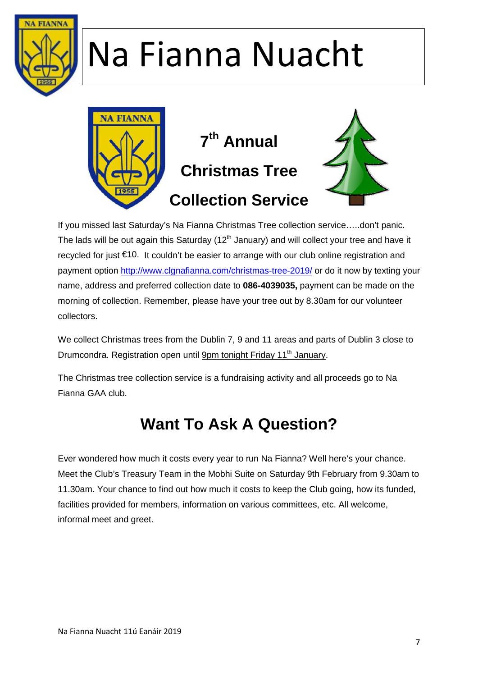



If you missed last Saturday's Na Fianna Christmas Tree collection service…..don't panic. The lads will be out again this Saturday ( $12<sup>th</sup>$  January) and will collect your tree and have it recycled for just €10. It couldn't be easier to arrange with our club online registration and payment option http://www.clgnafianna.com/christmas-tree-2019/ or do it now by texting your name, address and preferred collection date to **086-4039035,** payment can be made on the morning of collection. Remember, please have your tree out by 8.30am for our volunteer collectors.

We collect Christmas trees from the Dublin 7, 9 and 11 areas and parts of Dublin 3 close to Drumcondra. Registration open until 9pm tonight Friday 11<sup>th</sup> January.

The Christmas tree collection service is a fundraising activity and all proceeds go to Na Fianna GAA club.

#### **Want To Ask A Question?**

Ever wondered how much it costs every year to run Na Fianna? Well here's your chance. Meet the Club's Treasury Team in the Mobhi Suite on Saturday 9th February from 9.30am to 11.30am. Your chance to find out how much it costs to keep the Club going, how its funded, facilities provided for members, information on various committees, etc. All welcome, informal meet and greet.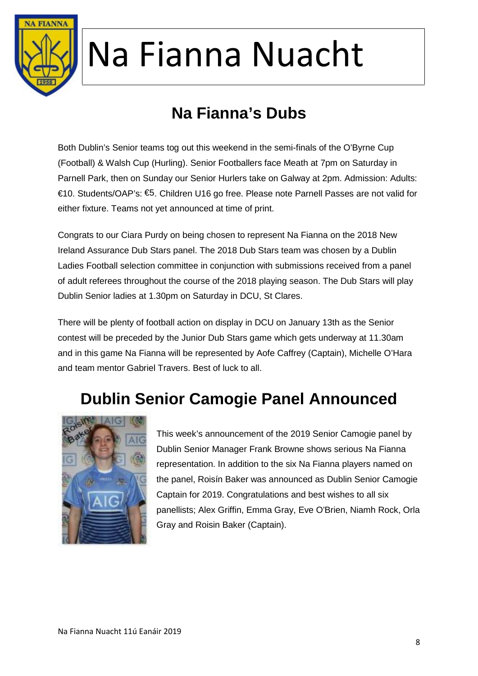

#### **Na Fianna's Dubs**

Both Dublin's Senior teams tog out this weekend in the semi-finals of the O'Byrne Cup (Football) & Walsh Cup (Hurling). Senior Footballers face Meath at 7pm on Saturday in Parnell Park, then on Sunday our Senior Hurlers take on Galway at 2pm. Admission: Adults: €10. Students/OAP's: €5. Children U16 go free. Please note Parnell Passes are not valid for either fixture. Teams not yet announced at time of print.

Congrats to our Ciara Purdy on being chosen to represent Na Fianna on the 2018 New Ireland Assurance Dub Stars panel. The 2018 Dub Stars team was chosen by a Dublin Ladies Football selection committee in conjunction with submissions received from a panel of adult referees throughout the course of the 2018 playing season. The Dub Stars will play Dublin Senior ladies at 1.30pm on Saturday in DCU, St Clares.

There will be plenty of football action on display in DCU on January 13th as the Senior contest will be preceded by the Junior Dub Stars game which gets underway at 11.30am and in this game Na Fianna will be represented by Aofe Caffrey (Captain), Michelle O'Hara and team mentor Gabriel Travers. Best of luck to all.

#### **Dublin Senior Camogie Panel Announced**



This week's announcement of the 2019 Senior Camogie panel by Dublin Senior Manager Frank Browne shows serious Na Fianna representation. In addition to the six Na Fianna players named on the panel, Roisín Baker was announced as Dublin Senior Camogie Captain for 2019. Congratulations and best wishes to all six panellists; Alex Griffin, Emma Gray, Eve O'Brien, Niamh Rock, Orla Gray and Roisin Baker (Captain).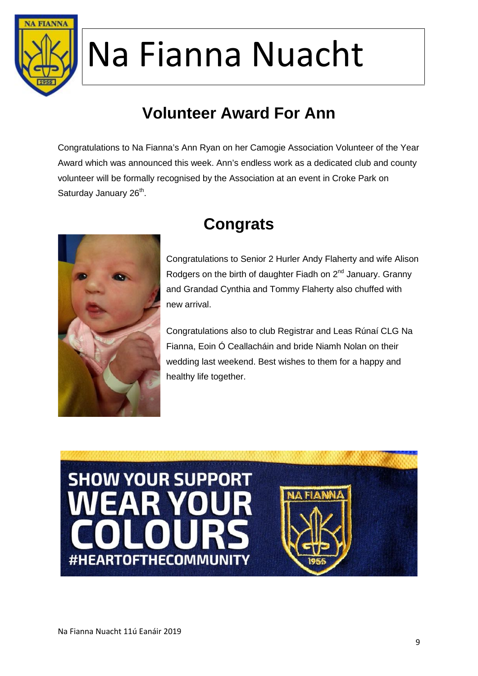

#### **Volunteer Award For Ann**

Congratulations to Na Fianna's Ann Ryan on her Camogie Association Volunteer of the Year Award which was announced this week. Ann's endless work as a dedicated club and county volunteer will be formally recognised by the Association at an event in Croke Park on Saturday January 26<sup>th</sup>.



#### **Congrats**

Congratulations to Senior 2 Hurler Andy Flaherty and wife Alison Rodgers on the birth of daughter Fiadh on  $2^{nd}$  January. Granny and Grandad Cynthia and Tommy Flaherty also chuffed with new arrival.

Congratulations also to club Registrar and Leas Rúnaí CLG Na Fianna, Eoin Ó Ceallacháin and bride Niamh Nolan on their wedding last weekend. Best wishes to them for a happy and healthy life together.

## **SHOW YOUR SUPPORT** EAR YOUR #HEARTOFTHECOMMUNITY

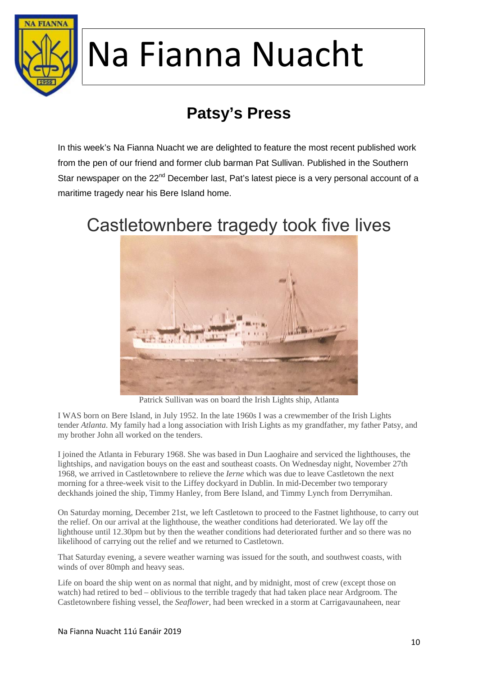

## **Patsy's Press**

In this week's Na Fianna Nuacht we are delighted to feature the most recent published work from the pen of our friend and former club barman Pat Sullivan. Published in the Southern Star newspaper on the  $22^{nd}$  December last, Pat's latest piece is a very personal account of a maritime tragedy near his Bere Island home.



#### Castletownbere tragedy took five lives

Patrick Sullivan was on board the Irish Lights ship, Atlanta

I WAS born on Bere Island, in July 1952. In the late 1960s I was a crewmember of the Irish Lights tender *Atlanta*. My family had a long association with Irish Lights as my grandfather, my father Patsy, and my brother John all worked on the tenders.

I joined the Atlanta in Feburary 1968. She was based in Dun Laoghaire and serviced the lighthouses, the lightships, and navigation bouys on the east and southeast coasts. On Wednesday night, November 27th 1968, we arrived in Castletownbere to relieve the *Ierne* which was due to leave Castletown the next morning for a three-week visit to the Liffey dockyard in Dublin. In mid-December two temporary deckhands joined the ship, Timmy Hanley, from Bere Island, and Timmy Lynch from Derrymihan.

On Saturday morning, December 21st, we left Castletown to proceed to the Fastnet lighthouse, to carry out the relief. On our arrival at the lighthouse, the weather conditions had deteriorated. We lay off the lighthouse until 12.30pm but by then the weather conditions had deteriorated further and so there was no likelihood of carrying out the relief and we returned to Castletown.

That Saturday evening, a severe weather warning was issued for the south, and southwest coasts, with winds of over 80mph and heavy seas.

Life on board the ship went on as normal that night, and by midnight, most of crew (except those on watch) had retired to bed – oblivious to the terrible tragedy that had taken place near Ardgroom. The Castletownbere fishing vessel, the *Seaflower*, had been wrecked in a storm at Carrigavaunaheen, near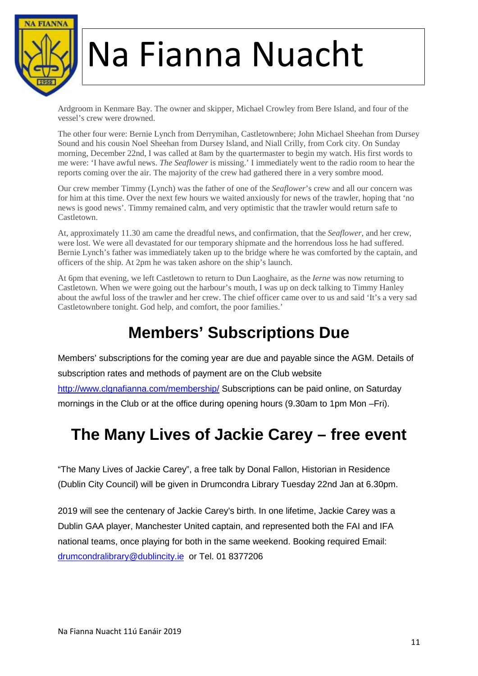

Ardgroom in Kenmare Bay. The owner and skipper, Michael Crowley from Bere Island, and four of the vessel's crew were drowned.

The other four were: Bernie Lynch from Derrymihan, Castletownbere; John Michael Sheehan from Dursey Sound and his cousin Noel Sheehan from Dursey Island, and Niall Crilly, from Cork city. On Sunday morning, December 22nd, I was called at 8am by the quartermaster to begin my watch. His first words to me were: 'I have awful news. *The Seaflower* is missing.' I immediately went to the radio room to hear the reports coming over the air. The majority of the crew had gathered there in a very sombre mood.

Our crew member Timmy (Lynch) was the father of one of the *Seaflower*'s crew and all our concern was for him at this time. Over the next few hours we waited anxiously for news of the trawler, hoping that 'no news is good news'. Timmy remained calm, and very optimistic that the trawler would return safe to Castletown.

At, approximately 11.30 am came the dreadful news, and confirmation, that the *Seaflower*, and her crew, were lost. We were all devastated for our temporary shipmate and the horrendous loss he had suffered. Bernie Lynch's father was immediately taken up to the bridge where he was comforted by the captain, and officers of the ship. At 2pm he was taken ashore on the ship's launch.

At 6pm that evening, we left Castletown to return to Dun Laoghaire, as the *Ierne* was now returning to Castletown. When we were going out the harbour's mouth, I was up on deck talking to Timmy Hanley about the awful loss of the trawler and her crew. The chief officer came over to us and said 'It's a very sad Castletownbere tonight. God help, and comfort, the poor families.'

#### **Members' Subscriptions Due**

Members' subscriptions for the coming year are due and payable since the AGM. Details of subscription rates and methods of payment are on the Club website http://www.clgnafianna.com/membership/ Subscriptions can be paid online, on Saturday mornings in the Club or at the office during opening hours (9.30am to 1pm Mon –Fri).

#### **The Many Lives of Jackie Carey – free event**

"The Many Lives of Jackie Carey", a free talk by Donal Fallon, Historian in Residence (Dublin City Council) will be given in Drumcondra Library Tuesday 22nd Jan at 6.30pm.

2019 will see the centenary of Jackie Carey's birth. In one lifetime, Jackie Carey was a Dublin GAA player, Manchester United captain, and represented both the FAI and IFA national teams, once playing for both in the same weekend. Booking required Email: drumcondralibrary@dublincity.ie or Tel. 01 8377206